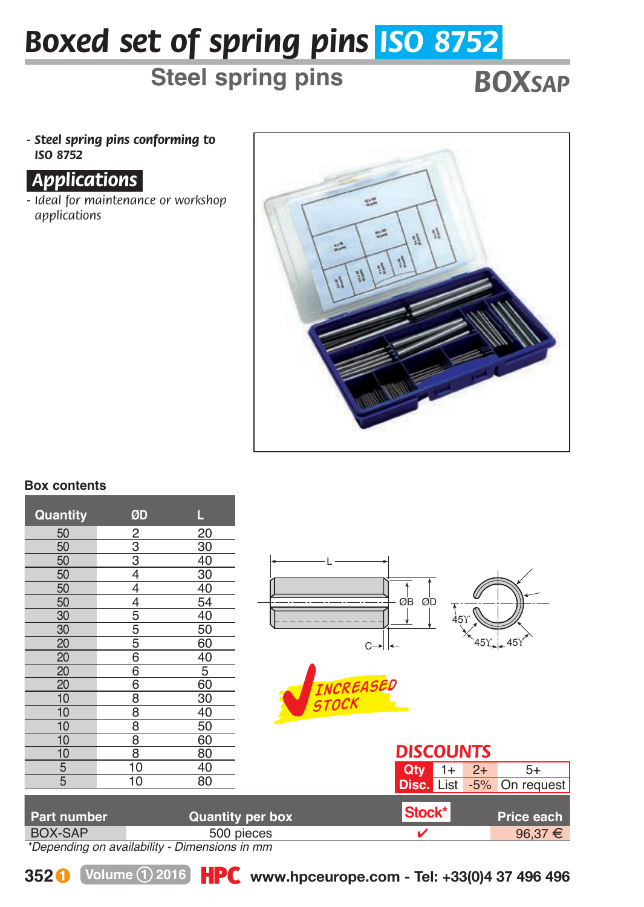# *Boxed set of spring pins ISO 8752*

## **Steel spring pins** *BOXSAP*

*- Steel spring pins conforming to ISO 8752*

#### *.Applications.*

*- Ideal for maintenance or workshop applications*



#### **Box contents**

| Quantity                                     | ØD                        | L                       |  |                    |                   |      |       |             |
|----------------------------------------------|---------------------------|-------------------------|--|--------------------|-------------------|------|-------|-------------|
| 50                                           | 2                         | 20                      |  |                    |                   |      |       |             |
| 50                                           | 3                         | 30                      |  |                    |                   |      |       |             |
| 50                                           | $\overline{\overline{3}}$ | 40                      |  |                    |                   |      |       |             |
| 50                                           | 4                         | 30                      |  |                    |                   |      |       |             |
| 50                                           | 4                         | 40                      |  |                    |                   |      |       |             |
| 50                                           | 4                         | 54                      |  |                    | ØB<br>ØD          |      |       |             |
| 30                                           | $\overline{5}$            | 40                      |  |                    |                   | 45Y  |       |             |
| 30                                           | 5                         | 50                      |  |                    |                   |      |       |             |
| 20                                           | 5                         | 60                      |  | $C \rightarrow$    |                   |      |       | 45Y 45Y     |
| $\overline{20}$                              | $\overline{6}$            | 40                      |  |                    |                   |      |       |             |
| 20                                           | $\overline{6}$            | 5                       |  |                    |                   |      |       |             |
| 20                                           | $\overline{6}$            | 60                      |  |                    |                   |      |       |             |
| 10                                           | $\overline{8}$            | 30                      |  | INCREASED<br>STOCK |                   |      |       |             |
| 10                                           | $\overline{8}$            | 40                      |  |                    |                   |      |       |             |
| 10                                           | $\overline{8}$            | 50                      |  |                    |                   |      |       |             |
| 10                                           | $\overline{\mathbf{8}}$   | 60                      |  |                    |                   |      |       |             |
| 10                                           | $\overline{8}$            | 80                      |  |                    | <b>DISCOUNTS</b>  |      |       |             |
| $\overline{5}$                               | 10                        | 40                      |  |                    | Qtv               | $1+$ | $2+$  | $5+$        |
| 5                                            | 10                        | 80                      |  |                    | <b>Disc. List</b> |      | $-5%$ | On request  |
|                                              |                           |                         |  |                    |                   |      |       |             |
| Part number                                  |                           | <b>Quantity per box</b> |  |                    | Stock*            |      |       | Price each  |
| <b>BOX-SAP</b>                               |                           | 500 pieces              |  |                    | v                 |      |       | $96,37 \in$ |
| *Deparding on quailability. Dimensiona in mm |                           |                         |  |                    |                   |      |       |             |

*\*Depending on availability - Dimensions in mm*



**352 Volume 1 2016 www.hpceurope.com - Tel: +33(0)4 37 496 496**